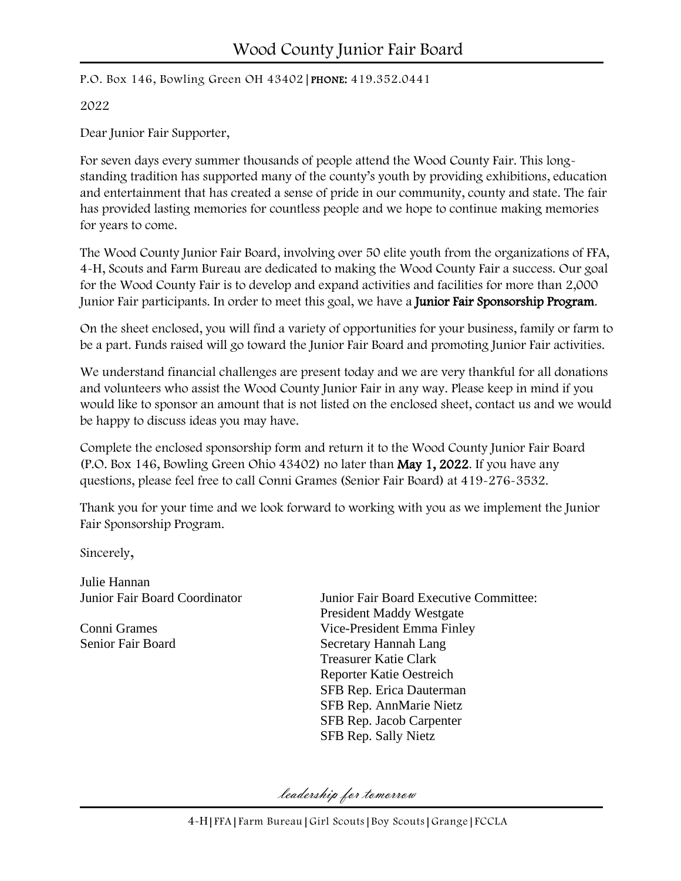P.O. Box 146, Bowling Green OH 43402|PHONE: 419.352.0441

2022

Dear Junior Fair Supporter,

For seven days every summer thousands of people attend the Wood County Fair. This longstanding tradition has supported many of the county's youth by providing exhibitions, education and entertainment that has created a sense of pride in our community, county and state. The fair has provided lasting memories for countless people and we hope to continue making memories for years to come.

The Wood County Junior Fair Board, involving over 50 elite youth from the organizations of FFA, 4-H, Scouts and Farm Bureau are dedicated to making the Wood County Fair a success. Our goal for the Wood County Fair is to develop and expand activities and facilities for more than 2,000 Junior Fair participants. In order to meet this goal, we have a **Junior Fair Sponsorship Program**.

On the sheet enclosed, you will find a variety of opportunities for your business, family or farm to be a part. Funds raised will go toward the Junior Fair Board and promoting Junior Fair activities.

We understand financial challenges are present today and we are very thankful for all donations and volunteers who assist the Wood County Junior Fair in any way. Please keep in mind if you would like to sponsor an amount that is not listed on the enclosed sheet, contact us and we would be happy to discuss ideas you may have.

Complete the enclosed sponsorship form and return it to the Wood County Junior Fair Board (P.O. Box 146, Bowling Green Ohio 43402) no later than May 1, 2022. If you have any questions, please feel free to call Conni Grames (Senior Fair Board) at 419-276-3532.

Thank you for your time and we look forward to working with you as we implement the Junior Fair Sponsorship Program.

Sincerely,

Julie Hannan

Junior Fair Board Coordinator Junior Fair Board Executive Committee: President Maddy Westgate Conni Grames Vice-President Emma Finley Senior Fair Board Secretary Hannah Lang Treasurer Katie Clark Reporter Katie Oestreich SFB Rep. Erica Dauterman SFB Rep. AnnMarie Nietz SFB Rep. Jacob Carpenter SFB Rep. Sally Nietz

leadership for tomorrow